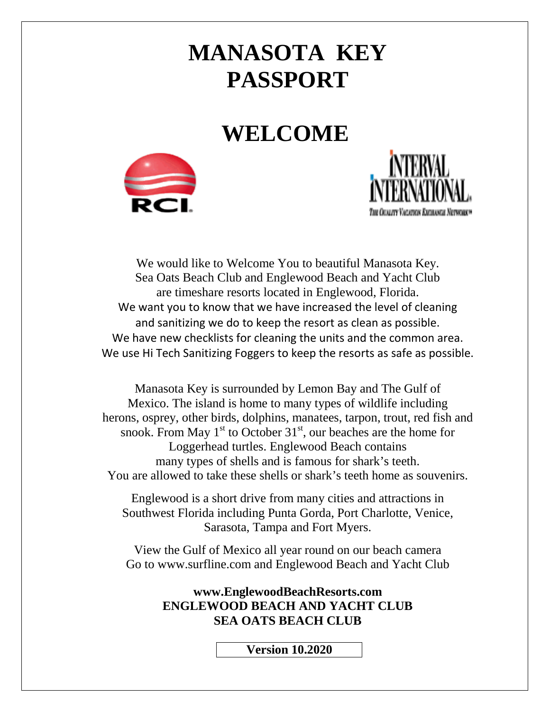# **MANASOTA KEY PASSPORT**

# **WELCOME**





We would like to Welcome You to beautiful Manasota Key. Sea Oats Beach Club and Englewood Beach and Yacht Club are timeshare resorts located in Englewood, Florida. We want you to know that we have increased the level of cleaning and sanitizing we do to keep the resort as clean as possible. We have new checklists for cleaning the units and the common area. We use Hi Tech Sanitizing Foggers to keep the resorts as safe as possible.

Manasota Key is surrounded by Lemon Bay and The Gulf of Mexico. The island is home to many types of wildlife including herons, osprey, other birds, dolphins, manatees, tarpon, trout, red fish and snook. From May  $1<sup>st</sup>$  to October 31<sup>st</sup>, our beaches are the home for Loggerhead turtles. Englewood Beach contains many types of shells and is famous for shark's teeth. You are allowed to take these shells or shark's teeth home as souvenirs.

Englewood is a short drive from many cities and attractions in Southwest Florida including Punta Gorda, Port Charlotte, Venice, Sarasota, Tampa and Fort Myers.

View the Gulf of Mexico all year round on our beach camera Go to www.surfline.com and Englewood Beach and Yacht Club

> **www.EnglewoodBeachResorts.com ENGLEWOOD BEACH AND YACHT CLUB SEA OATS BEACH CLUB**

> > **Version 10.2020**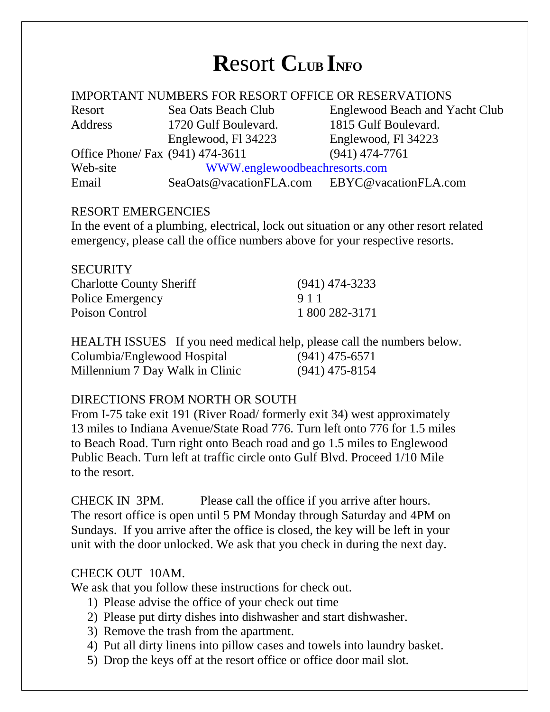# **R**esort **CLUB INFO**

#### IMPORTANT NUMBERS FOR RESORT OFFICE OR RESERVATIONS

| Resort                           | Sea Oats Beach Club                          | <b>Englewood Beach and Yacht Club</b> |
|----------------------------------|----------------------------------------------|---------------------------------------|
| Address                          | 1720 Gulf Boulevard.                         | 1815 Gulf Boulevard.                  |
|                                  | Englewood, Fl 34223                          | Englewood, Fl 34223                   |
| Office Phone/ Fax (941) 474-3611 |                                              | $(941)$ 474-7761                      |
| Web-site                         | WWW.englewoodbeachresorts.com                |                                       |
| Email                            | SeaOats@vacationFLA.com EBYC@vacationFLA.com |                                       |

#### RESORT EMERGENCIES

 $STCTIDITX$ 

In the event of a plumbing, electrical, lock out situation or any other resort related emergency, please call the office numbers above for your respective resorts.

| $(941)$ 474-3233 |
|------------------|
| 911              |
| 1 800 282-3171   |
|                  |

HEALTH ISSUES If you need medical help, please call the numbers below. Columbia/Englewood Hospital (941) 475-6571 Millennium 7 Day Walk in Clinic (941) 475-8154

#### DIRECTIONS FROM NORTH OR SOUTH

From I-75 take exit 191 (River Road/ formerly exit 34) west approximately 13 miles to Indiana Avenue/State Road 776. Turn left onto 776 for 1.5 miles to Beach Road. Turn right onto Beach road and go 1.5 miles to Englewood Public Beach. Turn left at traffic circle onto Gulf Blvd. Proceed 1/10 Mile to the resort.

CHECK IN 3PM. Please call the office if you arrive after hours. The resort office is open until 5 PM Monday through Saturday and 4PM on Sundays. If you arrive after the office is closed, the key will be left in your unit with the door unlocked. We ask that you check in during the next day.

#### CHECK OUT 10AM.

We ask that you follow these instructions for check out.

- 1) Please advise the office of your check out time
- 2) Please put dirty dishes into dishwasher and start dishwasher.
- 3) Remove the trash from the apartment.
- 4) Put all dirty linens into pillow cases and towels into laundry basket.
- 5) Drop the keys off at the resort office or office door mail slot.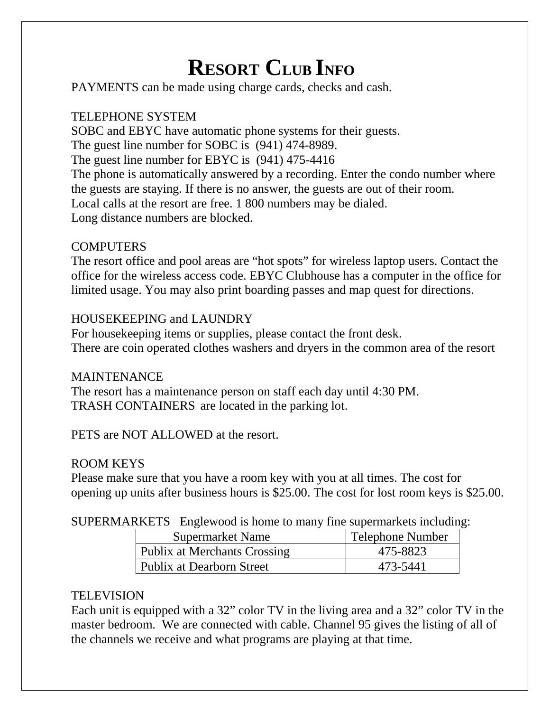# **RESORT CLUB INFO**

PAYMENTS can be made using charge cards, checks and cash.

#### TELEPHONE SYSTEM

SOBC and EBYC have automatic phone systems for their guests. The guest line number for SOBC is (941) 474-8989. The guest line number for EBYC is (941) 475-4416 The phone is automatically answered by a recording. Enter the condo number where the guests are staying. If there is no answer, the guests are out of their room. Local calls at the resort are free. 1 800 numbers may be dialed. Long distance numbers are blocked.

#### COMPUTERS

The resort office and pool areas are "hot spots" for wireless laptop users. Contact the office for the wireless access code. EBYC Clubhouse has a computer in the office for limited usage. You may also print boarding passes and map quest for directions.

#### HOUSEKEEPING and LAUNDRY

For housekeeping items or supplies, please contact the front desk. There are coin operated clothes washers and dryers in the common area of the resort

#### MAINTENANCE

The resort has a maintenance person on staff each day until 4:30 PM. TRASH CONTAINERS are located in the parking lot.

PETS are NOT ALLOWED at the resort.

#### ROOM KEYS

Please make sure that you have a room key with you at all times. The cost for opening up units after business hours is \$25.00. The cost for lost room keys is \$25.00.

#### SUPERMARKETS Englewood is home to many fine supermarkets including:

| <b>Supermarket Name</b>             | <b>Telephone Number</b> |
|-------------------------------------|-------------------------|
| <b>Publix at Merchants Crossing</b> | 475-8823                |
| Publix at Dearborn Street           | 473-5441                |

#### **TELEVISION**

Each unit is equipped with a 32" color TV in the living area and a 32" color TV in the master bedroom. We are connected with cable. Channel 95 gives the listing of all of the channels we receive and what programs are playing at that time.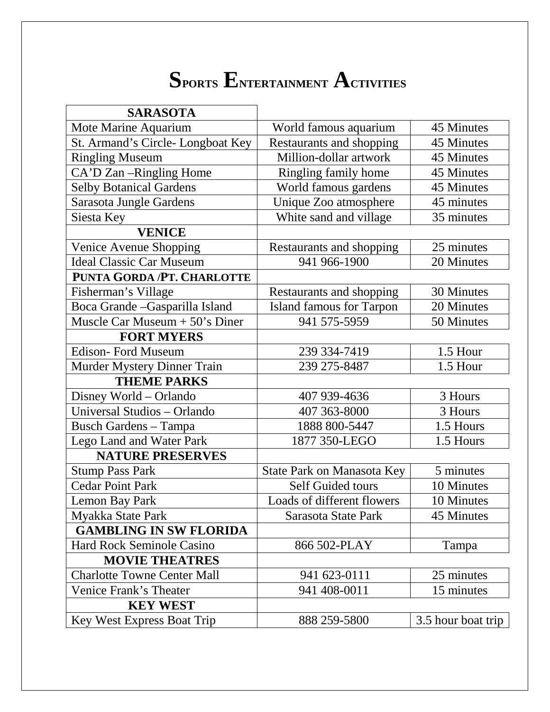# **SPORTS ENTERTAINMENT ACTIVITIES**

| <b>SARASOTA</b>                    |                                 |                    |
|------------------------------------|---------------------------------|--------------------|
| Mote Marine Aquarium               | World famous aquarium           | 45 Minutes         |
| St. Armand's Circle-Longboat Key   | Restaurants and shopping        | 45 Minutes         |
| <b>Ringling Museum</b>             | Million-dollar artwork          | 45 Minutes         |
| CA'D Zan -Ringling Home            | Ringling family home            | 45 Minutes         |
| <b>Selby Botanical Gardens</b>     | World famous gardens            | 45 Minutes         |
| Sarasota Jungle Gardens            | Unique Zoo atmosphere           | 45 minutes         |
| Siesta Key                         | White sand and village          | 35 minutes         |
| <b>VENICE</b>                      |                                 |                    |
| Venice Avenue Shopping             | Restaurants and shopping        | 25 minutes         |
| <b>Ideal Classic Car Museum</b>    | 941 966-1900                    | 20 Minutes         |
| PUNTA GORDA /PT. CHARLOTTE         |                                 |                    |
| Fisherman's Village                | Restaurants and shopping        | 30 Minutes         |
| Boca Grande - Gasparilla Island    | <b>Island famous for Tarpon</b> | 20 Minutes         |
| Muscle Car Museum $+50$ 's Diner   | 941 575-5959                    | 50 Minutes         |
| <b>FORT MYERS</b>                  |                                 |                    |
| <b>Edison-Ford Museum</b>          | 239 334-7419                    | 1.5 Hour           |
| Murder Mystery Dinner Train        | 239 275-8487                    | 1.5 Hour           |
| <b>THEME PARKS</b>                 |                                 |                    |
| Disney World - Orlando             | 407 939-4636                    | 3 Hours            |
| Universal Studios - Orlando        | 407 363-8000                    | 3 Hours            |
| Busch Gardens - Tampa              | 1888 800-5447                   | 1.5 Hours          |
| Lego Land and Water Park           | 1877 350-LEGO                   | 1.5 Hours          |
| <b>NATURE PRESERVES</b>            |                                 |                    |
| <b>Stump Pass Park</b>             | State Park on Manasota Key      | 5 minutes          |
| <b>Cedar Point Park</b>            | <b>Self Guided tours</b>        | 10 Minutes         |
| Lemon Bay Park                     | Loads of different flowers      | 10 Minutes         |
| Myakka State Park                  | Sarasota State Park             | 45 Minutes         |
| <b>GAMBLING IN SW FLORIDA</b>      |                                 |                    |
| <b>Hard Rock Seminole Casino</b>   | 866 502-PLAY                    | Tampa              |
| <b>MOVIE THEATRES</b>              |                                 |                    |
| <b>Charlotte Towne Center Mall</b> | 941 623-0111                    | 25 minutes         |
| Venice Frank's Theater             | 941 408-0011                    | 15 minutes         |
| <b>KEY WEST</b>                    |                                 |                    |
| Key West Express Boat Trip         | 888 259-5800                    | 3.5 hour boat trip |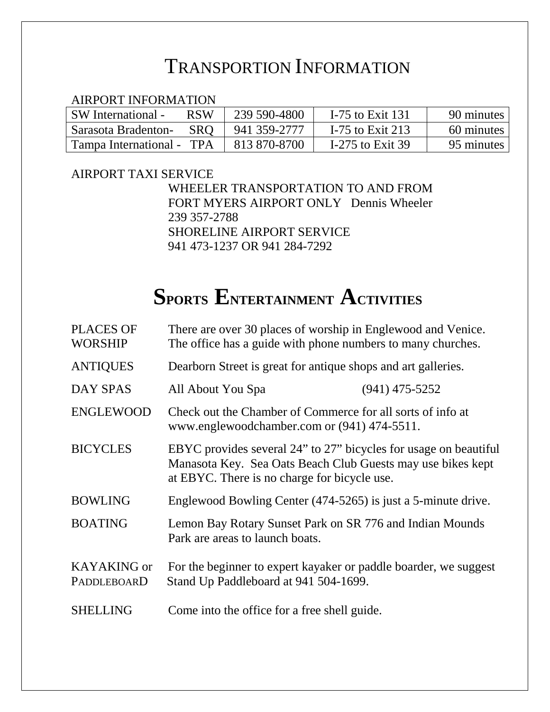## TRANSPORTION INFORMATION

#### AIRPORT INFORMATION

| SW International -    | RSW        | 239 590-4800 | I-75 to Exit $131$ | 90 minutes |
|-----------------------|------------|--------------|--------------------|------------|
| Sarasota Bradenton-   | SRO        | 941 359-2777 | I-75 to Exit 213   | 60 minutes |
| Tampa International - | <b>TPA</b> | 813 870-8700 | I-275 to Exit $39$ | 95 minutes |

#### AIRPORT TAXI SERVICE

WHEELER TRANSPORTATION TO AND FROM FORT MYERS AIRPORT ONLY Dennis Wheeler 239 357-2788 SHORELINE AIRPORT SERVICE 941 473-1237 OR 941 284-7292

# **SPORTS ENTERTAINMENT ACTIVITIES**

| <b>PLACES OF</b><br><b>WORSHIP</b> | There are over 30 places of worship in Englewood and Venice.<br>The office has a guide with phone numbers to many churches.                                                     |                  |
|------------------------------------|---------------------------------------------------------------------------------------------------------------------------------------------------------------------------------|------------------|
| <b>ANTIQUES</b>                    | Dearborn Street is great for antique shops and art galleries.                                                                                                                   |                  |
| DAY SPAS                           | All About You Spa                                                                                                                                                               | $(941)$ 475-5252 |
| <b>ENGLEWOOD</b>                   | Check out the Chamber of Commerce for all sorts of info at<br>www.englewoodchamber.com or (941) 474-5511.                                                                       |                  |
| <b>BICYCLES</b>                    | EBYC provides several 24" to 27" bicycles for usage on beautiful<br>Manasota Key. Sea Oats Beach Club Guests may use bikes kept<br>at EBYC. There is no charge for bicycle use. |                  |
| <b>BOWLING</b>                     | Englewood Bowling Center (474-5265) is just a 5-minute drive.                                                                                                                   |                  |
| <b>BOATING</b>                     | Lemon Bay Rotary Sunset Park on SR 776 and Indian Mounds<br>Park are areas to launch boats.                                                                                     |                  |
| <b>KAYAKING</b> or<br>PADDLEBOARD  | For the beginner to expert kayaker or paddle boarder, we suggest<br>Stand Up Paddleboard at 941 504-1699.                                                                       |                  |
| <b>SHELLING</b>                    | Come into the office for a free shell guide.                                                                                                                                    |                  |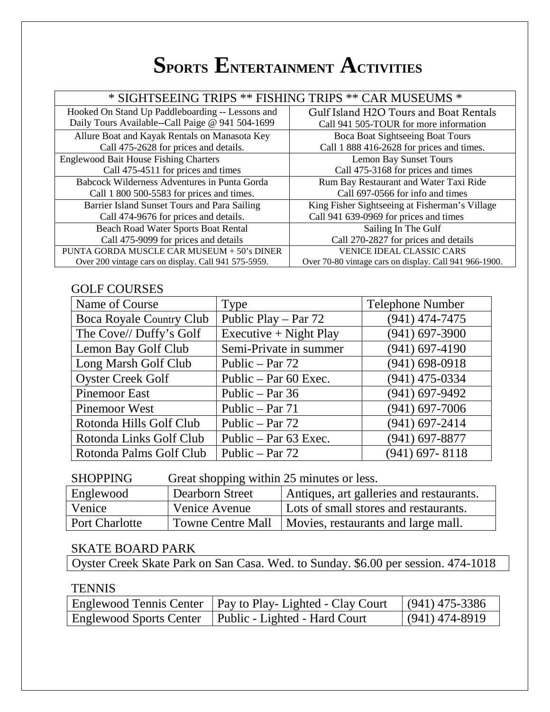# **SPORTS ENTERTAINMENT ACTIVITIES**

| * SIGHTSEEING TRIPS ** FISHING TRIPS ** CAR MUSEUMS * |                                                        |  |  |
|-------------------------------------------------------|--------------------------------------------------------|--|--|
| Hooked On Stand Up Paddleboarding -- Lessons and      | Gulf Island H2O Tours and Boat Rentals                 |  |  |
| Daily Tours Available--Call Paige @ 941 504-1699      | Call 941 505-TOUR for more information                 |  |  |
| Allure Boat and Kayak Rentals on Manasota Key         | <b>Boca Boat Sightseeing Boat Tours</b>                |  |  |
| Call 475-2628 for prices and details.                 | Call 1 888 416-2628 for prices and times.              |  |  |
| <b>Englewood Bait House Fishing Charters</b>          | <b>Lemon Bay Sunset Tours</b>                          |  |  |
| Call 475-4511 for prices and times                    | Call 475-3168 for prices and times                     |  |  |
| Babcock Wilderness Adventures in Punta Gorda          | Rum Bay Restaurant and Water Taxi Ride                 |  |  |
| Call 1 800 500-5583 for prices and times.             | Call 697-0566 for info and times                       |  |  |
| Barrier Island Sunset Tours and Para Sailing          | King Fisher Sightseeing at Fisherman's Village         |  |  |
| Call 474-9676 for prices and details.                 | Call 941 639-0969 for prices and times                 |  |  |
| Beach Road Water Sports Boat Rental                   | Sailing In The Gulf                                    |  |  |
| Call 475-9099 for prices and details                  | Call 270-2827 for prices and details                   |  |  |
| PUNTA GORDA MUSCLE CAR MUSEUM + 50's DINER            | VENICE IDEAL CLASSIC CARS                              |  |  |
| Over 200 vintage cars on display. Call 941 575-5959.  | Over 70-80 vintage cars on display. Call 941 966-1900. |  |  |

#### GOLF COURSES

| Name of Course           | Type                     | <b>Telephone Number</b> |
|--------------------------|--------------------------|-------------------------|
| Boca Royale Country Club | Public Play – Par 72     | $(941)$ 474-7475        |
| The Cove// Duffy's Golf  | Executive $+$ Night Play | $(941)$ 697-3900        |
| Lemon Bay Golf Club      | Semi-Private in summer   | $(941)$ 697-4190        |
| Long Marsh Golf Club     | Public – Par $72$        | $(941)$ 698-0918        |
| <b>Oyster Creek Golf</b> | Public – Par 60 Exec.    | $(941)$ 475-0334        |
| <b>Pinemoor East</b>     | Public – Par $36$        | $(941) 697 - 9492$      |
| <b>Pinemoor West</b>     | Public $-$ Par 71        | $(941)$ 697-7006        |
| Rotonda Hills Golf Club  | Public – Par $72$        | $(941) 697 - 2414$      |
| Rotonda Links Golf Club  | Public – Par 63 Exec.    | $(941) 697 - 8877$      |
| Rotonda Palms Golf Club  | Public – Par $72$        | (941) 697-8118          |

#### SHOPPING Great shopping within 25 minutes or less.

| Englewood             | Dearborn Street | Antiques, art galleries and restaurants.                |
|-----------------------|-----------------|---------------------------------------------------------|
| Venice                | Venice Avenue   | Lots of small stores and restaurants.                   |
| <b>Port Charlotte</b> |                 | Towne Centre Mall   Movies, restaurants and large mall. |

#### SKATE BOARD PARK

Oyster Creek Skate Park on San Casa. Wed. to Sunday. \$6.00 per session. 474-1018

#### **TENNIS**

| Englewood Tennis Center   Pay to Play- Lighted - Clay Court | $(941)$ 475-3386 |
|-------------------------------------------------------------|------------------|
| Englewood Sports Center   Public - Lighted - Hard Court     | $(941)$ 474-8919 |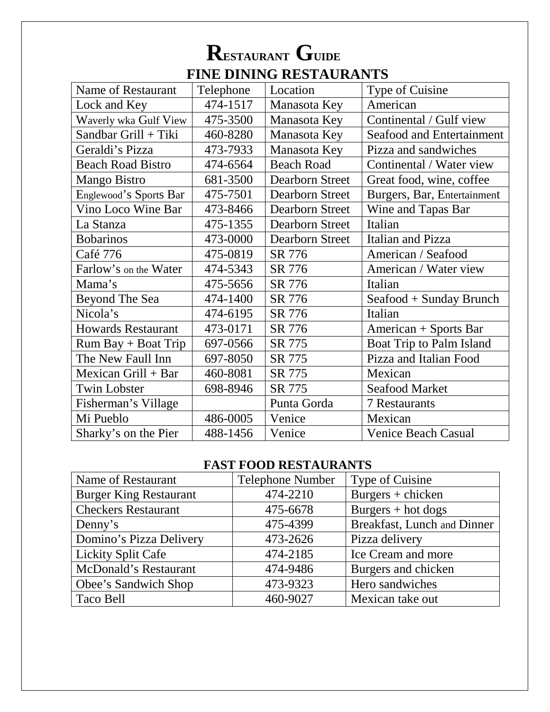## **RESTAURANT GUIDE FINE DINING RESTAURANTS**

| <b>Name of Restaurant</b> | Telephone | Location               | Type of Cuisine             |
|---------------------------|-----------|------------------------|-----------------------------|
| Lock and Key              | 474-1517  | Manasota Key           | American                    |
| Waverly wka Gulf View     | 475-3500  | Manasota Key           | Continental / Gulf view     |
| Sandbar Grill + Tiki      | 460-8280  | Manasota Key           | Seafood and Entertainment   |
| Geraldi's Pizza           | 473-7933  | Manasota Key           | Pizza and sandwiches        |
| <b>Beach Road Bistro</b>  | 474-6564  | <b>Beach Road</b>      | Continental / Water view    |
| Mango Bistro              | 681-3500  | <b>Dearborn Street</b> | Great food, wine, coffee    |
| Englewood's Sports Bar    | 475-7501  | <b>Dearborn Street</b> | Burgers, Bar, Entertainment |
| Vino Loco Wine Bar        | 473-8466  | Dearborn Street        | Wine and Tapas Bar          |
| La Stanza                 | 475-1355  | Dearborn Street        | Italian                     |
| <b>Bobarinos</b>          | 473-0000  | <b>Dearborn Street</b> | Italian and Pizza           |
| Café 776                  | 475-0819  | SR 776                 | American / Seafood          |
| Farlow's on the Water     | 474-5343  | SR 776                 | American / Water view       |
| Mama's                    | 475-5656  | SR 776                 | Italian                     |
| Beyond The Sea            | 474-1400  | SR 776                 | Seafood + Sunday Brunch     |
| Nicola's                  | 474-6195  | SR 776                 | Italian                     |
| <b>Howards Restaurant</b> | 473-0171  | SR 776                 | American + Sports Bar       |
| $Run Bay + Boat$ Trip     | 697-0566  | SR 775                 | Boat Trip to Palm Island    |
| The New Faull Inn         | 697-8050  | SR 775                 | Pizza and Italian Food      |
| Mexican $Grill + Bar$     | 460-8081  | SR 775                 | Mexican                     |
| <b>Twin Lobster</b>       | 698-8946  | SR 775                 | <b>Seafood Market</b>       |
| Fisherman's Village       |           | Punta Gorda            | 7 Restaurants               |
| Mi Pueblo                 | 486-0005  | Venice                 | Mexican                     |
| Sharky's on the Pier      | 488-1456  | Venice                 | <b>Venice Beach Casual</b>  |

#### **FAST FOOD RESTAURANTS**

| Name of Restaurant            | <b>Telephone Number</b> | Type of Cuisine             |
|-------------------------------|-------------------------|-----------------------------|
| <b>Burger King Restaurant</b> | 474-2210                | Burgers $+$ chicken         |
| <b>Checkers Restaurant</b>    | 475-6678                | Burgers $+$ hot dogs        |
| Denny's                       | 475-4399                | Breakfast, Lunch and Dinner |
| Domino's Pizza Delivery       | 473-2626                | Pizza delivery              |
| <b>Lickity Split Cafe</b>     | 474-2185                | Ice Cream and more          |
| McDonald's Restaurant         | 474-9486                | Burgers and chicken         |
| Obee's Sandwich Shop          | 473-9323                | Hero sandwiches             |
| Taco Bell                     | 460-9027                | Mexican take out            |